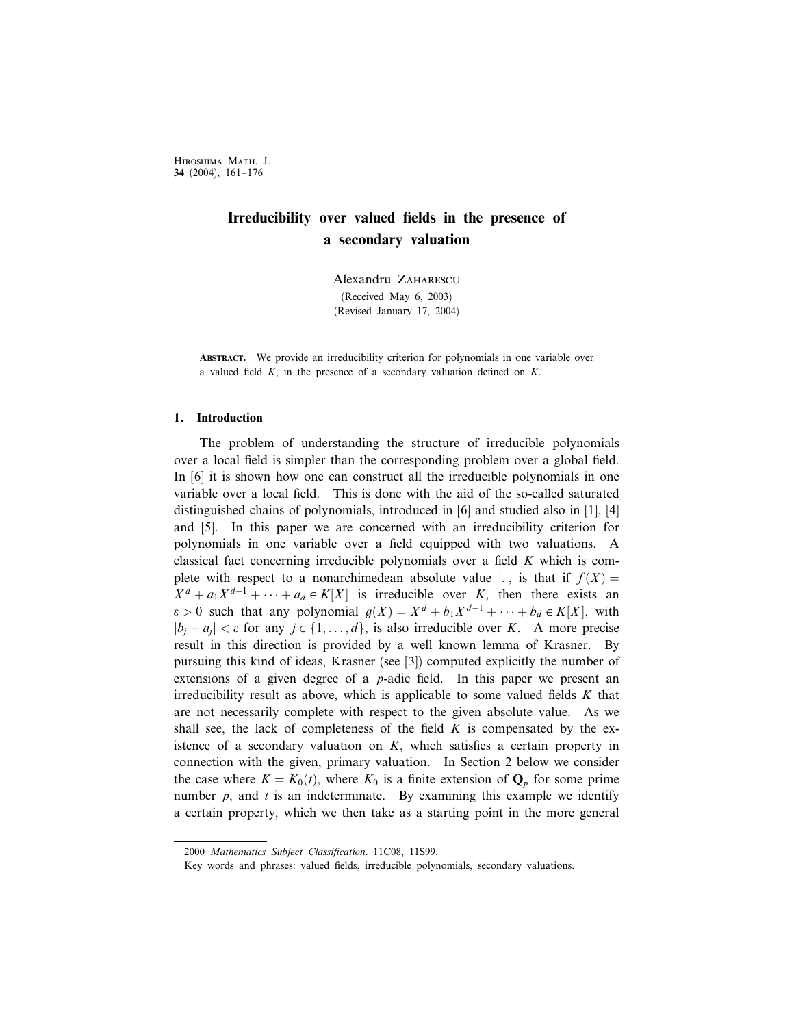Hiroshima Math. J. 34 (2004), 161–176

# Irreducibility over valued fields in the presence of a secondary valuation

Alexandru Zaharescu (Received May 6, 2003) (Revised January 17, 2004)

ABSTRACT. We provide an irreducibility criterion for polynomials in one variable over a valued field  $K$ , in the presence of a secondary valuation defined on  $K$ .

## 1. Introduction

The problem of understanding the structure of irreducible polynomials over a local field is simpler than the corresponding problem over a global field. In [6] it is shown how one can construct all the irreducible polynomials in one variable over a local field. This is done with the aid of the so-called saturated distinguished chains of polynomials, introduced in [6] and studied also in [1], [4] and [5]. In this paper we are concerned with an irreducibility criterion for polynomials in one variable over a field equipped with two valuations. A classical fact concerning irreducible polynomials over a field K which is complete with respect to a nonarchimedean absolute value |.|, is that if  $f(X) =$  $X^d + a_1 X^{d-1} + \cdots + a_d \in K[X]$  is irreducible over K, then there exists an  $\varepsilon > 0$  such that any polynomial  $g(X) = X^d + b_1 X^{d-1} + \cdots + b_d \in K[X]$ , with  $|b_i - a_i| < \varepsilon$  for any  $j \in \{1, ..., d\}$ , is also irreducible over K. A more precise result in this direction is provided by a well known lemma of Krasner. By pursuing this kind of ideas, Krasner (see [3]) computed explicitly the number of extensions of a given degree of a p-adic field. In this paper we present an irreducibility result as above, which is applicable to some valued fields  $K$  that are not necessarily complete with respect to the given absolute value. As we shall see, the lack of completeness of the field  $K$  is compensated by the existence of a secondary valuation on  $K$ , which satisfies a certain property in connection with the given, primary valuation. In Section 2 below we consider the case where  $K = K_0(t)$ , where  $K_0$  is a finite extension of  $\mathbf{Q}_p$  for some prime number  $p$ , and  $t$  is an indeterminate. By examining this example we identify a certain property, which we then take as a starting point in the more general

<sup>2000</sup> Mathematics Subject Classification. 11C08, 11S99.

Key words and phrases: valued fields, irreducible polynomials, secondary valuations.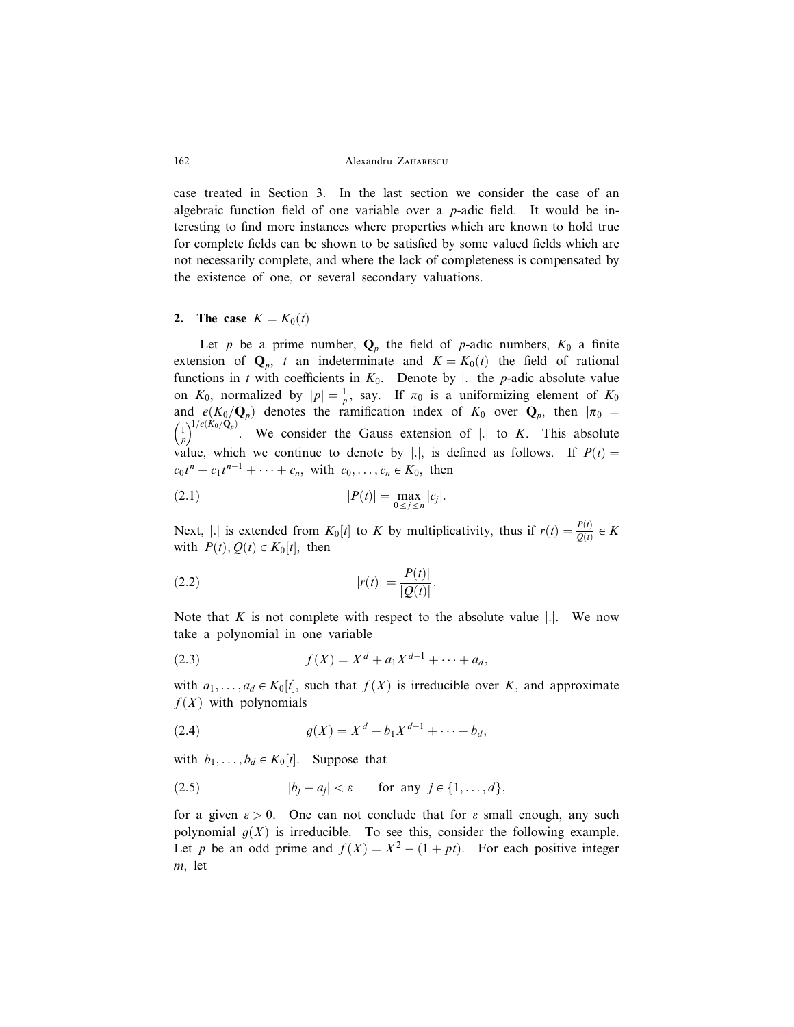#### 162 Alexandru Zaharescu

case treated in Section 3. In the last section we consider the case of an algebraic function field of one variable over a  $p$ -adic field. It would be interesting to find more instances where properties which are known to hold true for complete fields can be shown to be satisfied by some valued fields which are not necessarily complete, and where the lack of completeness is compensated by the existence of one, or several secondary valuations.

## 2. The case  $K = K_0(t)$

Let p be a prime number,  $Q_p$  the field of p-adic numbers,  $K_0$  a finite extension of  $\mathbf{Q}_p$ , t an indeterminate and  $K = K_0(t)$  the field of rational functions in t with coefficients in  $K_0$ . Denote by |. the p-adic absolute value on  $K_0$ , normalized by  $|p| = \frac{1}{p}$ , say. If  $\pi_0$  is a uniformizing element of  $K_0$ and  $e(K_0/Q_p)$  denotes the ramification index of  $K_0$  over  $Q_p$ , then  $|\pi_0|=$ 1 p  $\left(\frac{1}{R}\right)^{1/e(\hat{K}_0/\hat{Q}_p)}$ . We consider the Gauss extension of || to K. This absolute value, which we continue to denote by |.|, is defined as follows. If  $P(t) =$  $c_0t^n + c_1t^{n-1} + \cdots + c_n$ , with  $c_0, \ldots, c_n \in K_0$ , then

(2.1) 
$$
|P(t)| = \max_{0 \le j \le n} |c_j|.
$$

Next, | is extended from  $K_0[t]$  to K by multiplicativity, thus if  $r(t) = \frac{P(t)}{Q(t)} \in K$ with  $P(t), Q(t) \in K_0[t]$ , then

(2.2) 
$$
|r(t)| = \frac{|P(t)|}{|Q(t)|}.
$$

Note that  $K$  is not complete with respect to the absolute value  $|.|$ . We now take a polynomial in one variable

(2.3) 
$$
f(X) = X^d + a_1 X^{d-1} + \dots + a_d,
$$

with  $a_1, \ldots, a_d \in K_0[t]$ , such that  $f(X)$  is irreducible over K, and approximate  $f(X)$  with polynomials

(2.4) 
$$
g(X) = X^d + b_1 X^{d-1} + \dots + b_d,
$$

with  $b_1, \ldots, b_d \in K_0[t]$ . Suppose that

$$
(2.5) \t\t |b_j - a_j| < \varepsilon \t \text{for any } j \in \{1, \ldots, d\},
$$

for a given  $\varepsilon > 0$ . One can not conclude that for  $\varepsilon$  small enough, any such polynomial  $g(X)$  is irreducible. To see this, consider the following example. Let p be an odd prime and  $f(X) = X^2 - (1 + pt)$ . For each positive integer m, let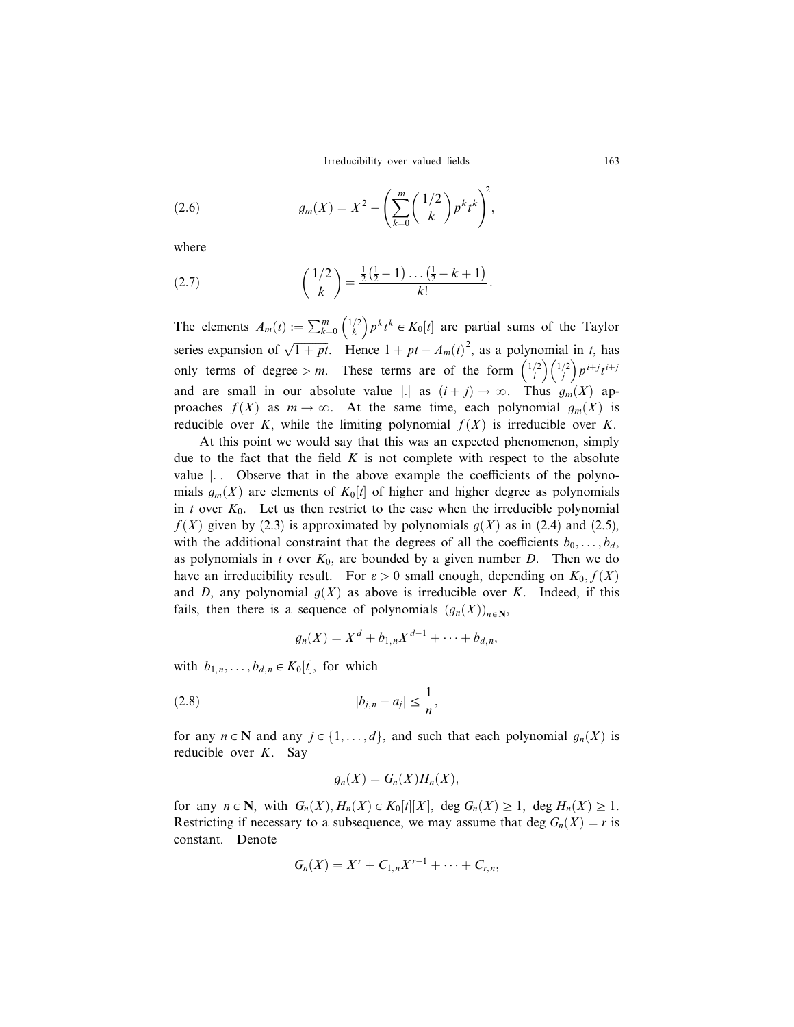Irreducibility over valued fields 163

(2.6) 
$$
g_m(X) = X^2 - \left(\sum_{k=0}^m {1/2 \choose k} p^k t^k\right)^2,
$$

where

(2.7) 
$$
\binom{1/2}{k} = \frac{\frac{1}{2}(\frac{1}{2}-1)\dots(\frac{1}{2}-k+1)}{k!}.
$$

The elements  $A_m(t) := \sum_{k=0}^m \binom{1/2}{k}$  $\binom{1/2}{k} p^k t^k \in K_0[t]$  are partial sums of the Taylor series expansion of  $\sqrt{1 + pt}$ . Hence  $1 + pt - A_m(t)^2$ , as a polynomial in t, has only terms of degree > m. These terms are of the form  $\binom{1/2}{i}$  $\binom{1/2}{i}\binom{1/2}{j}$  $\left(\begin{array}{c}1/2\\i\end{array}\right)p^{i+j}t^{i+j}$ and are small in our absolute value |.| as  $(i + j) \rightarrow \infty$ . Thus  $g_m(X)$  approaches  $f(X)$  as  $m \to \infty$ . At the same time, each polynomial  $g_m(X)$  is reducible over K, while the limiting polynomial  $f(X)$  is irreducible over K.

At this point we would say that this was an expected phenomenon, simply due to the fact that the field  $K$  is not complete with respect to the absolute value  $\vert \cdot \vert$ . Observe that in the above example the coefficients of the polynomials  $g_m(X)$  are elements of  $K_0[t]$  of higher and higher degree as polynomials in t over  $K_0$ . Let us then restrict to the case when the irreducible polynomial  $f(X)$  given by (2.3) is approximated by polynomials  $g(X)$  as in (2.4) and (2.5), with the additional constraint that the degrees of all the coefficients  $b_0, \ldots, b_d$ , as polynomials in t over  $K_0$ , are bounded by a given number D. Then we do have an irreducibility result. For  $\varepsilon > 0$  small enough, depending on  $K_0, f(X)$ and D, any polynomial  $g(X)$  as above is irreducible over K. Indeed, if this fails, then there is a sequence of polynomials  $(g_n(X))_{n\in\mathbb{N}},$ 

$$
g_n(X) = X^d + b_{1,n} X^{d-1} + \cdots + b_{d,n},
$$

with  $b_{1,n}, \ldots, b_{d,n} \in K_0[t]$ , for which

(2.8) 
$$
|b_{j,n} - a_j| \leq \frac{1}{n},
$$

for any  $n \in \mathbb{N}$  and any  $j \in \{1, ..., d\}$ , and such that each polynomial  $g_n(X)$  is reducible over K. Say

$$
g_n(X) = G_n(X)H_n(X),
$$

for any  $n \in \mathbb{N}$ , with  $G_n(X), H_n(X) \in K_0[t][X]$ , deg  $G_n(X) \ge 1$ , deg  $H_n(X) \ge 1$ . Restricting if necessary to a subsequence, we may assume that deg  $G_n(X) = r$  is constant. Denote

$$
G_n(X) = X^r + C_{1,n}X^{r-1} + \cdots + C_{r,n},
$$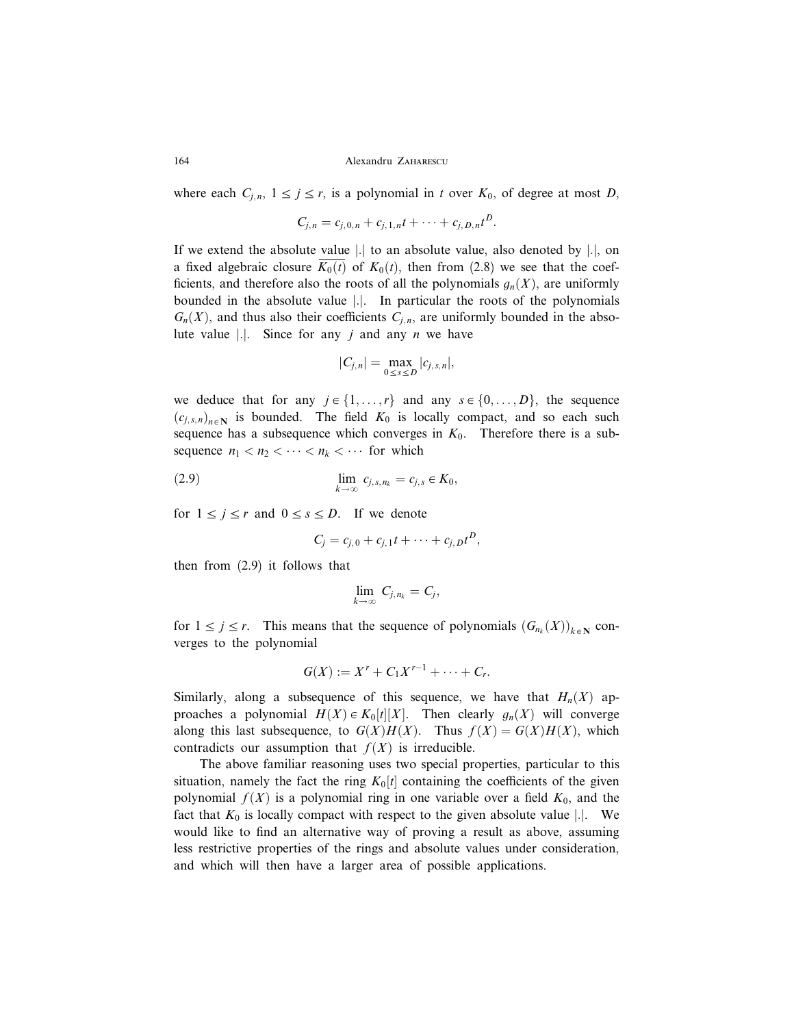#### 164 Alexandru ZAHARESCU

where each  $C_{j,n}$ ,  $1 \le j \le r$ , is a polynomial in t over  $K_0$ , of degree at most D,

$$
C_{j,n} = c_{j,0,n} + c_{j,1,n}t + \cdots + c_{j,D,n}t^D.
$$

If we extend the absolute value  $|.|$  to an absolute value, also denoted by  $|.|$ , on a fixed algebraic closure  $K_0(t)$  of  $K_0(t)$ , then from (2.8) we see that the coefficients, and therefore also the roots of all the polynomials  $g_n(X)$ , are uniformly bounded in the absolute value |.|. In particular the roots of the polynomials  $G_n(X)$ , and thus also their coefficients  $C_{j,n}$ , are uniformly bounded in the absolute value |.|. Since for any j and any  $n$  we have

$$
|C_{j,n}|=\max_{0\leq s\leq D}|c_{j,s,n}|,
$$

we deduce that for any  $j \in \{1, ..., r\}$  and any  $s \in \{0, ..., D\}$ , the sequence  $(c_{j,s,n})_{n\in\mathbb{N}}$  is bounded. The field  $K_0$  is locally compact, and so each such sequence has a subsequence which converges in  $K_0$ . Therefore there is a subsequence  $n_1 < n_2 < \cdots < n_k < \cdots$  for which

(2.9) 
$$
\lim_{k \to \infty} c_{j,s,n_k} = c_{j,s} \in K_0,
$$

for  $1 \le j \le r$  and  $0 \le s \le D$ . If we denote

$$
C_j = c_{j,0} + c_{j,1}t + \cdots + c_{j,D}t^D,
$$

then from (2.9) it follows that

$$
\lim_{k\to\infty} C_{j,n_k}=C_j,
$$

for  $1 \le j \le r$ . This means that the sequence of polynomials  $(G_{n_k}(X))_{k \in \mathbb{N}}$  converges to the polynomial

$$
G(X) := X^r + C_1 X^{r-1} + \cdots + C_r.
$$

Similarly, along a subsequence of this sequence, we have that  $H_n(X)$  approaches a polynomial  $H(X) \in K_0[t][X]$ . Then clearly  $g_n(X)$  will converge along this last subsequence, to  $G(X)H(X)$ . Thus  $f(X) = G(X)H(X)$ , which contradicts our assumption that  $f(X)$  is irreducible.

The above familiar reasoning uses two special properties, particular to this situation, namely the fact the ring  $K_0[t]$  containing the coefficients of the given polynomial  $f(X)$  is a polynomial ring in one variable over a field  $K_0$ , and the fact that  $K_0$  is locally compact with respect to the given absolute value |.|. We would like to find an alternative way of proving a result as above, assuming less restrictive properties of the rings and absolute values under consideration, and which will then have a larger area of possible applications.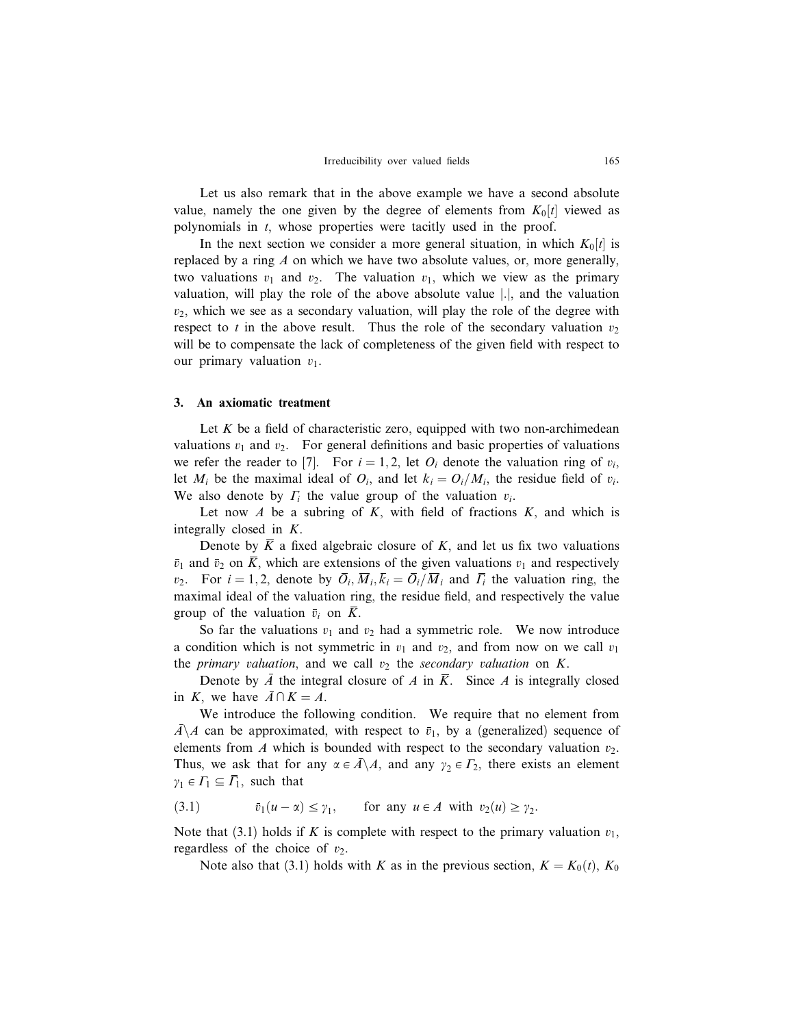Let us also remark that in the above example we have a second absolute value, namely the one given by the degree of elements from  $K_0[t]$  viewed as polynomials in t, whose properties were tacitly used in the proof.

In the next section we consider a more general situation, in which  $K_0[t]$  is replaced by a ring  $\Lambda$  on which we have two absolute values, or, more generally, two valuations  $v_1$  and  $v_2$ . The valuation  $v_1$ , which we view as the primary valuation, will play the role of the above absolute value |.|, and the valuation  $v_2$ , which we see as a secondary valuation, will play the role of the degree with respect to t in the above result. Thus the role of the secondary valuation  $v_2$ will be to compensate the lack of completeness of the given field with respect to our primary valuation  $v_1$ .

### 3. An axiomatic treatment

Let  $K$  be a field of characteristic zero, equipped with two non-archimedean valuations  $v_1$  and  $v_2$ . For general definitions and basic properties of valuations we refer the reader to [7]. For  $i = 1, 2$ , let  $O_i$  denote the valuation ring of  $v_i$ , let  $M_i$  be the maximal ideal of  $O_i$ , and let  $k_i = O_i/M_i$ , the residue field of  $v_i$ . We also denote by  $\Gamma_i$  the value group of the valuation  $v_i$ .

Let now  $A$  be a subring of  $K$ , with field of fractions  $K$ , and which is integrally closed in K.

Denote by  $\overline{K}$  a fixed algebraic closure of K, and let us fix two valuations  $\bar{v}_1$  and  $\bar{v}_2$  on  $\bar{K}$ , which are extensions of the given valuations  $v_1$  and respectively  $v_2$ . For  $i = 1, 2$ , denote by  $\overline{O}_i$ ,  $\overline{M}_i$ ,  $\overline{k}_i = \overline{O}_i/\overline{M}_i$  and  $\overline{\Gamma}_i$  the valuation ring, the maximal ideal of the valuation ring, the residue field, and respectively the value group of the valuation  $\bar{v}_i$  on  $\bar{K}$ .

So far the valuations  $v_1$  and  $v_2$  had a symmetric role. We now introduce a condition which is not symmetric in  $v_1$  and  $v_2$ , and from now on we call  $v_1$ the primary valuation, and we call  $v_2$  the secondary valuation on K.

Denote by  $\overline{A}$  the integral closure of A in  $\overline{K}$ . Since A is integrally closed in K, we have  $\overline{A} \cap K = A$ .

We introduce the following condition. We require that no element from  $\overline{A} \setminus A$  can be approximated, with respect to  $\overline{v}_1$ , by a (generalized) sequence of elements from  $A$  which is bounded with respect to the secondary valuation  $v_2$ . Thus, we ask that for any  $\alpha \in \overline{A} \setminus A$ , and any  $\gamma_2 \in \Gamma_2$ , there exists an element  $\gamma_1 \in \Gamma_1 \subseteq \overline{\Gamma}_1$ , such that

(3.1)  $\overline{v}_1(u-\alpha) \leq \gamma_1$ , for any  $u \in A$  with  $v_2(u) \geq \gamma_2$ .

Note that (3.1) holds if K is complete with respect to the primary valuation  $v_1$ , regardless of the choice of  $v_2$ .

Note also that (3.1) holds with K as in the previous section,  $K = K_0(t)$ ,  $K_0$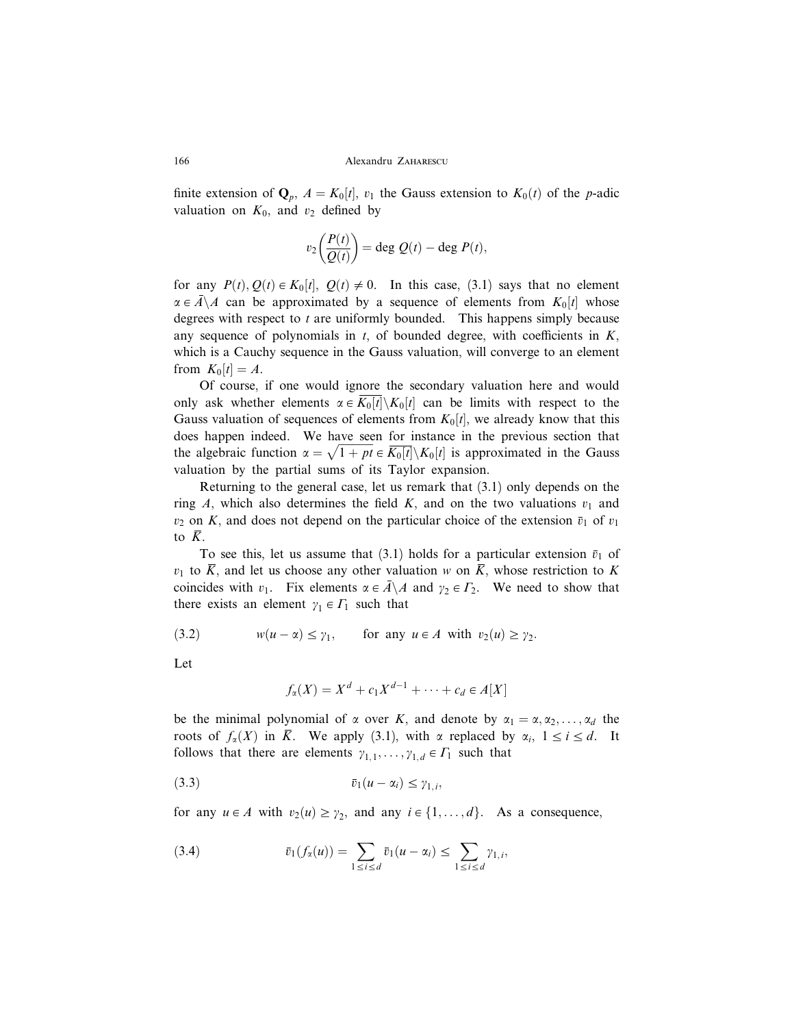finite extension of  $\mathbf{Q}_p$ ,  $A = K_0[t]$ ,  $v_1$  the Gauss extension to  $K_0(t)$  of the p-adic valuation on  $K_0$ , and  $v_2$  defined by

$$
v_2\left(\frac{P(t)}{Q(t)}\right) = \deg Q(t) - \deg P(t),
$$

for any  $P(t), Q(t) \in K_0[t], Q(t) \neq 0$ . In this case, (3.1) says that no element  $\alpha \in \overline{A} \backslash A$  can be approximated by a sequence of elements from  $K_0[t]$  whose degrees with respect to  $t$  are uniformly bounded. This happens simply because any sequence of polynomials in  $t$ , of bounded degree, with coefficients in  $K$ , which is a Cauchy sequence in the Gauss valuation, will converge to an element from  $K_0[t] = A$ .

Of course, if one would ignore the secondary valuation here and would only ask whether elements  $\alpha \in K_0[t] \setminus K_0[t]$  can be limits with respect to the Gauss valuation of sequences of elements from  $K_0[t]$ , we already know that this does happen indeed. We have seen for instance in the previous section that the algebraic function  $\alpha = \sqrt{1 + pt} \in \overline{K_0[t]} \setminus K_0[t]$  is approximated in the Gauss valuation by the partial sums of its Taylor expansion.

Returning to the general case, let us remark that (3.1) only depends on the ring A, which also determines the field K, and on the two valuations  $v_1$  and  $v_2$  on K, and does not depend on the particular choice of the extension  $\bar{v}_1$  of  $v_1$ to  $\overline{K}$ .

To see this, let us assume that (3.1) holds for a particular extension  $\bar{v}_1$  of  $v_1$  to  $\overline{K}$ , and let us choose any other valuation w on  $\overline{K}$ , whose restriction to K coincides with  $v_1$ . Fix elements  $\alpha \in \overline{A} \backslash A$  and  $\gamma_2 \in \Gamma_2$ . We need to show that there exists an element  $\gamma_1 \in \Gamma_1$  such that

(3.2) 
$$
w(u - \alpha) \le \gamma_1, \quad \text{for any } u \in A \text{ with } v_2(u) \ge \gamma_2.
$$

Let

$$
f_{\alpha}(X) = X^d + c_1 X^{d-1} + \cdots + c_d \in A[X]
$$

be the minimal polynomial of  $\alpha$  over K, and denote by  $\alpha_1 = \alpha, \alpha_2, \dots, \alpha_d$  the roots of  $f_{\alpha}(X)$  in  $\overline{K}$ . We apply (3.1), with  $\alpha$  replaced by  $\alpha_i$ ,  $1 \le i \le d$ . It follows that there are elements  $\gamma_{1,1}, \ldots, \gamma_{1,d} \in \Gamma_1$  such that

$$
(3.3) \t\t \overline{v}_1(u-\alpha_i) \leq \gamma_{1,i},
$$

for any  $u \in A$  with  $v_2(u) \geq v_2$ , and any  $i \in \{1, ..., d\}$ . As a consequence,

(3.4) 
$$
\overline{v}_1(f_\alpha(u)) = \sum_{1 \leq i \leq d} \overline{v}_1(u - \alpha_i) \leq \sum_{1 \leq i \leq d} \gamma_{1,i},
$$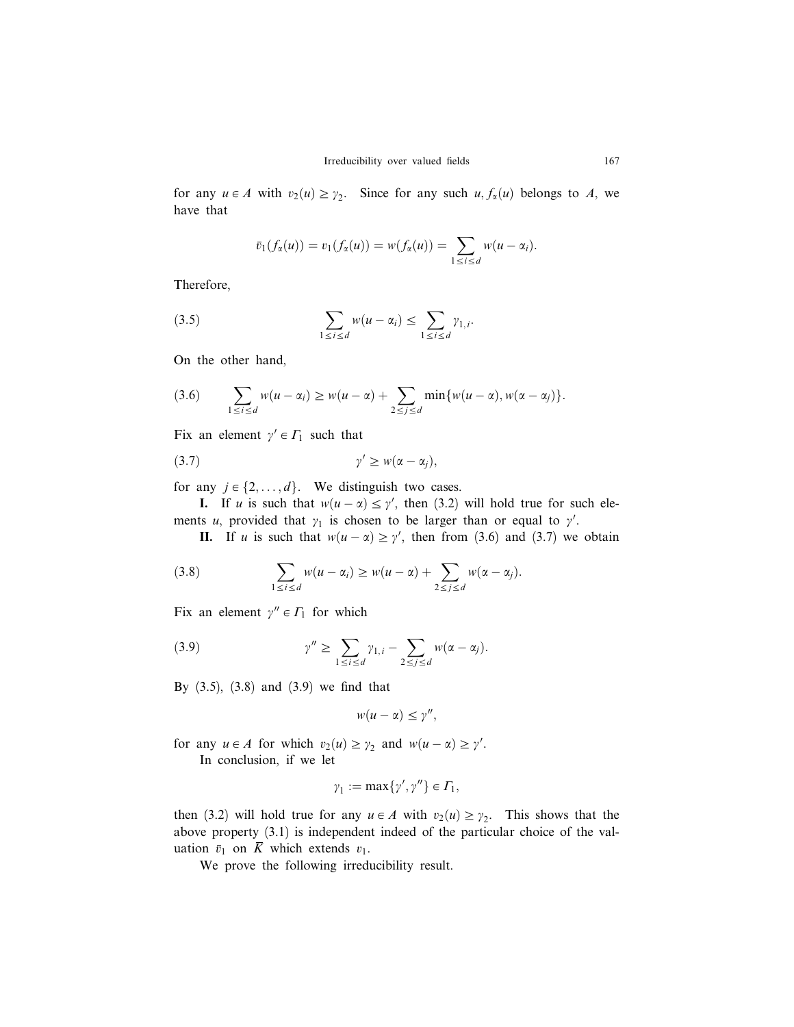for any  $u \in A$  with  $v_2(u) \geq v_2$ . Since for any such  $u, f_\alpha(u)$  belongs to A, we have that

$$
\bar{v}_1(f_{\alpha}(u)) = v_1(f_{\alpha}(u)) = w(f_{\alpha}(u)) = \sum_{1 \leq i \leq d} w(u - \alpha_i).
$$

Therefore,

(3.5) 
$$
\sum_{1 \leq i \leq d} w(u - \alpha_i) \leq \sum_{1 \leq i \leq d} \gamma_{1,i}.
$$

On the other hand,

$$
(3.6) \qquad \sum_{1 \leq i \leq d} w(u - \alpha_i) \geq w(u - \alpha) + \sum_{2 \leq j \leq d} \min \{w(u - \alpha), w(\alpha - \alpha_j)\}.
$$

Fix an element  $\gamma' \in \Gamma_1$  such that

$$
\gamma' \geq w(\alpha - \alpha_j),
$$

for any  $j \in \{2, ..., d\}$ . We distinguish two cases.

**I.** If u is such that  $w(u - \alpha) \leq \gamma'$ , then (3.2) will hold true for such elements u, provided that  $y_1$  is chosen to be larger than or equal to  $y'$ .

**II.** If u is such that  $w(u - \alpha) \geq \gamma'$ , then from (3.6) and (3.7) we obtain

(3.8) 
$$
\sum_{1 \leq i \leq d} w(u - \alpha_i) \geq w(u - \alpha) + \sum_{2 \leq j \leq d} w(\alpha - \alpha_j).
$$

Fix an element  $\gamma'' \in \Gamma_1$  for which

(3.9) 
$$
\gamma'' \geq \sum_{1 \leq i \leq d} \gamma_{1,i} - \sum_{2 \leq j \leq d} w(\alpha - \alpha_j).
$$

By (3.5), (3.8) and (3.9) we find that

$$
w(u-\alpha)\leq \gamma'',
$$

for any  $u \in A$  for which  $v_2(u) \geq y_2$  and  $w(u - \alpha) \geq y'$ . In conclusion, if we let

$$
\gamma_1 := \max\{\gamma', \gamma''\} \in \Gamma_1,
$$

then (3.2) will hold true for any  $u \in A$  with  $v_2(u) \geq v_2$ . This shows that the above property (3.1) is independent indeed of the particular choice of the valuation  $\bar{v}_1$  on  $\bar{K}$  which extends  $v_1$ .

We prove the following irreducibility result.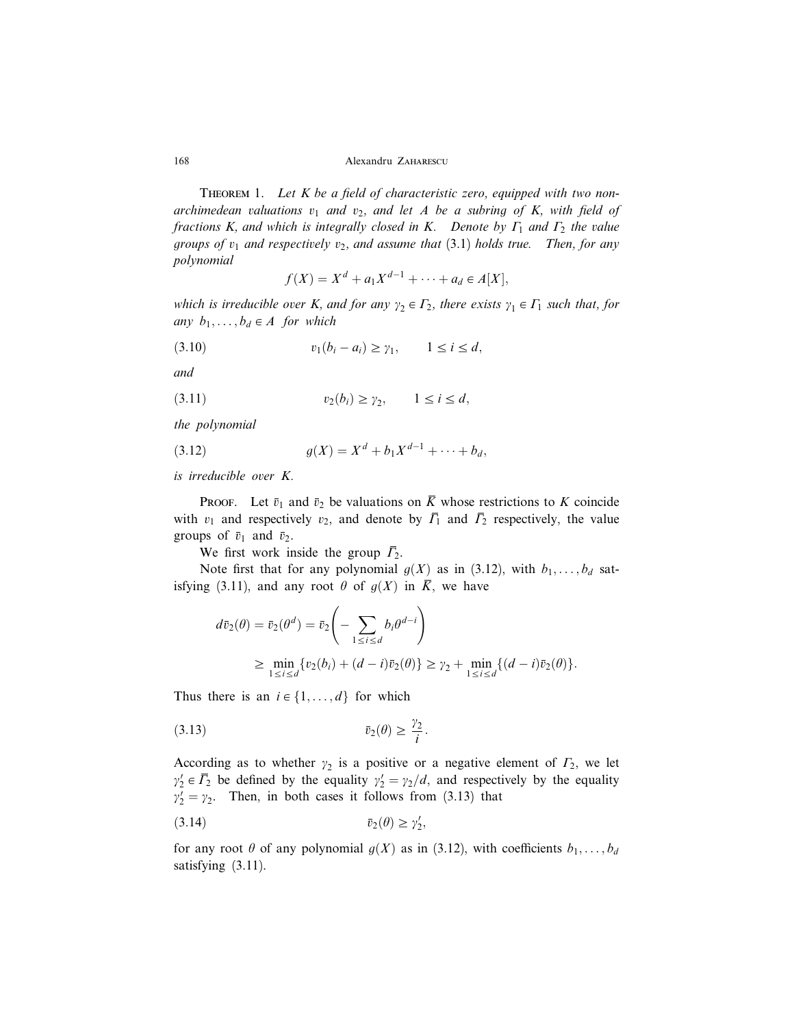168 Alexandru Zaharescu

THEOREM 1. Let  $K$  be a field of characteristic zero, equipped with two nonarchimedean valuations  $v_1$  and  $v_2$ , and let A be a subring of K, with field of fractions K, and which is integrally closed in K. Denote by  $\Gamma_1$  and  $\Gamma_2$  the value groups of  $v_1$  and respectively  $v_2$ , and assume that (3.1) holds true. Then, for any polynomial

$$
f(X) = X^d + a_1 X^{d-1} + \dots + a_d \in A[X],
$$

which is irreducible over K, and for any  $\gamma_2 \in \Gamma_2$ , there exists  $\gamma_1 \in \Gamma_1$  such that, for any  $b_1, \ldots, b_d \in A$  for which

$$
(3.10) \t\t v_1(b_i - a_i) \ge \gamma_1, \t 1 \le i \le d,
$$

and

$$
(3.11) \t\t\t v_2(b_i) \geq \gamma_2, \t 1 \leq i \leq d,
$$

the polynomial

(3.12) 
$$
g(X) = X^d + b_1 X^{d-1} + \cdots + b_d,
$$

is irreducible over K.

**PROOF.** Let  $\bar{v}_1$  and  $\bar{v}_2$  be valuations on  $\bar{K}$  whose restrictions to K coincide with  $v_1$  and respectively  $v_2$ , and denote by  $\overline{\Gamma}_1$  and  $\overline{\Gamma}_2$  respectively, the value groups of  $\bar{v}_1$  and  $\bar{v}_2$ .

We first work inside the group  $\overline{\Gamma}_2$ .

Note first that for any polynomial  $g(X)$  as in (3.12), with  $b_1, \ldots, b_d$  satisfying (3.11), and any root  $\theta$  of  $g(X)$  in  $\overline{K}$ , we have

$$
d\bar{v}_2(\theta) = \bar{v}_2(\theta^d) = \bar{v}_2\left(-\sum_{1 \le i \le d} b_i \theta^{d-i}\right)
$$
  
 
$$
\ge \min_{1 \le i \le d} \{v_2(b_i) + (d-i)\bar{v}_2(\theta)\} \ge \gamma_2 + \min_{1 \le i \le d} \{(d-i)\bar{v}_2(\theta)\}.
$$

Thus there is an  $i \in \{1, \ldots, d\}$  for which

$$
\bar{v}_2(\theta) \ge \frac{\gamma_2}{i}.
$$

According as to whether  $\gamma_2$  is a positive or a negative element of  $\Gamma_2$ , we let  $\gamma_2' \in \overline{P_2}$  be defined by the equality  $\gamma_2' = \gamma_2/d$ , and respectively by the equality  $\gamma_2' = \gamma_2$ . Then, in both cases it follows from (3.13) that

$$
\bar{v}_2(\theta) \ge \gamma'_2,
$$

for any root  $\theta$  of any polynomial  $g(X)$  as in (3.12), with coefficients  $b_1, \ldots, b_d$ satisfying (3.11).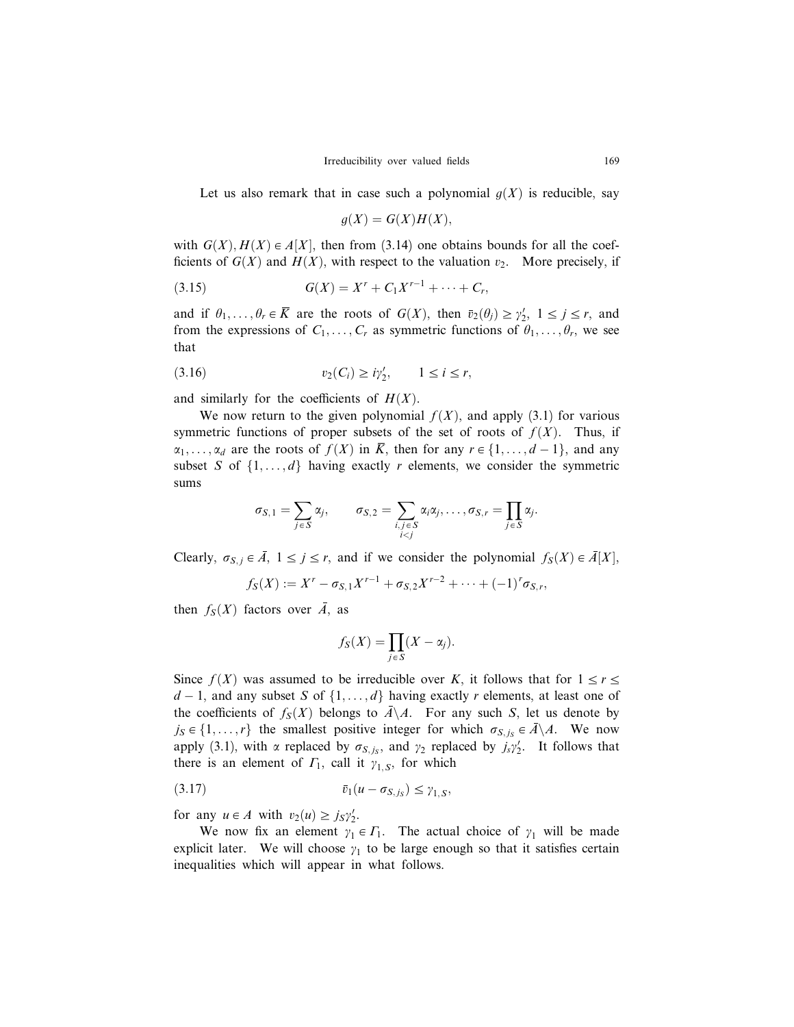Let us also remark that in case such a polynomial  $g(X)$  is reducible, say

$$
g(X) = G(X)H(X),
$$

with  $G(X)$ ,  $H(X) \in A[X]$ , then from (3.14) one obtains bounds for all the coefficients of  $G(X)$  and  $H(X)$ , with respect to the valuation  $v_2$ . More precisely, if

(3.15) 
$$
G(X) = X^r + C_1 X^{r-1} + \cdots + C_r,
$$

and if  $\theta_1, \ldots, \theta_r \in \overline{K}$  are the roots of  $G(X)$ , then  $\overline{v}_2(\theta_j) \ge \gamma'_2$ ,  $1 \le j \le r$ , and from the expressions of  $C_1, \ldots, C_r$  as symmetric functions of  $\theta_1, \ldots, \theta_r$ , we see that

$$
(3.16) \t v_2(C_i) \geq i\gamma'_2, \t 1 \leq i \leq r,
$$

and similarly for the coefficients of  $H(X)$ .

We now return to the given polynomial  $f(X)$ , and apply (3.1) for various symmetric functions of proper subsets of the set of roots of  $f(X)$ . Thus, if  $\alpha_1, \ldots, \alpha_d$  are the roots of  $f(X)$  in  $\overline{K}$ , then for any  $r \in \{1, \ldots, d-1\}$ , and any subset S of  $\{1, \ldots, d\}$  having exactly r elements, we consider the symmetric sums

$$
\sigma_{S,1} = \sum_{j \in S} \alpha_j, \qquad \sigma_{S,2} = \sum_{\substack{i,j \in S \\ i < j}} \alpha_i \alpha_j, \ldots, \sigma_{S,r} = \prod_{j \in S} \alpha_j.
$$

Clearly,  $\sigma_{S,j} \in \overline{A}$ ,  $1 \le j \le r$ , and if we consider the polynomial  $f_S(X) \in \overline{A}[X]$ ,

$$
f_S(X) := X^r - \sigma_{S,1} X^{r-1} + \sigma_{S,2} X^{r-2} + \cdots + (-1)^r \sigma_{S,r},
$$

then  $f_S(X)$  factors over  $\overline{A}$ , as

$$
f_S(X) = \prod_{j \in S} (X - \alpha_j).
$$

Since  $f(X)$  was assumed to be irreducible over K, it follows that for  $1 \le r \le$  $d-1$ , and any subset S of  $\{1,\ldots,d\}$  having exactly r elements, at least one of the coefficients of  $f_S(X)$  belongs to  $\overline{A}\setminus A$ . For any such S, let us denote by  $j_S \in \{1, \ldots, r\}$  the smallest positive integer for which  $\sigma_{S, j_S} \in A \backslash A$ . We now apply (3.1), with  $\alpha$  replaced by  $\sigma_{S, j_S}$ , and  $\gamma_2$  replaced by  $j_s\gamma_2'$ . It follows that there is an element of  $\Gamma_1$ , call it  $\gamma_{1,S}$ , for which

$$
\overline{v}_1(u - \sigma_{S,j_S}) \leq \gamma_{1,S},
$$

for any  $u \in A$  with  $v_2(u) \ge j_S \gamma'_2$ .

We now fix an element  $y_1 \in \Gamma_1$ . The actual choice of  $y_1$  will be made explicit later. We will choose  $\gamma_1$  to be large enough so that it satisfies certain inequalities which will appear in what follows.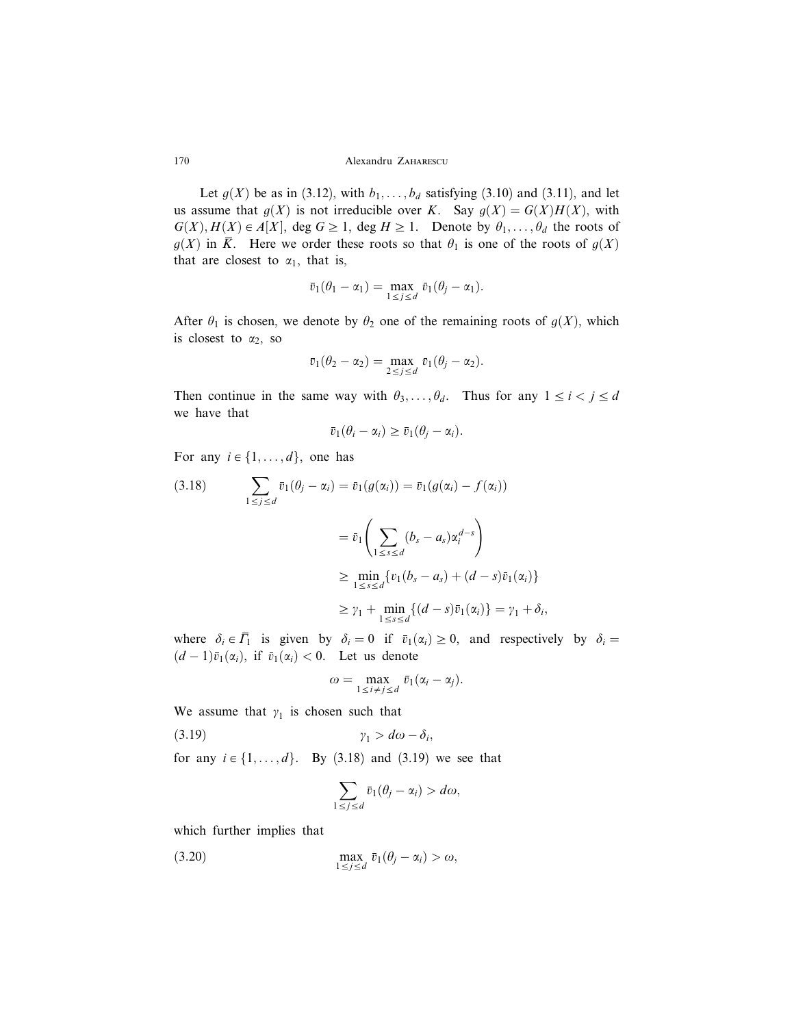170 Alexandru ZAHARESCU

Let  $g(X)$  be as in (3.12), with  $b_1, \ldots, b_d$  satisfying (3.10) and (3.11), and let us assume that  $g(X)$  is not irreducible over K. Say  $g(X) = G(X)H(X)$ , with  $G(X), H(X) \in A[X], \text{ deg } G \geq 1, \text{ deg } H \geq 1.$  Denote by  $\theta_1, \ldots, \theta_d$  the roots of  $g(X)$  in  $\overline{K}$ . Here we order these roots so that  $\theta_1$  is one of the roots of  $g(X)$ that are closest to  $\alpha_1$ , that is,

$$
\bar{v}_1(\theta_1-\alpha_1)=\max_{1\leq j\leq d} \bar{v}_1(\theta_j-\alpha_1).
$$

After  $\theta_1$  is chosen, we denote by  $\theta_2$  one of the remaining roots of  $g(X)$ , which is closest to  $\alpha_2$ , so

$$
\bar{v}_1(\theta_2-\alpha_2)=\max_{2\leq j\leq d}\bar{v}_1(\theta_j-\alpha_2).
$$

Then continue in the same way with  $\theta_3, \dots, \theta_d$ . Thus for any  $1 \le i < j \le d$ we have that

$$
\bar{v}_1(\theta_i - \alpha_i) \ge \bar{v}_1(\theta_j - \alpha_i).
$$

For any  $i \in \{1, \ldots, d\}$ , one has

$$
(3.18) \qquad \sum_{1 \leq j \leq d} \bar{v}_1(\theta_j - \alpha_i) = \bar{v}_1(g(\alpha_i)) = \bar{v}_1(g(\alpha_i) - f(\alpha_i))
$$
\n
$$
= \bar{v}_1 \left( \sum_{1 \leq s \leq d} (b_s - a_s) \alpha_i^{d-s} \right)
$$
\n
$$
\geq \min_{1 \leq s \leq d} \{v_1(b_s - a_s) + (d - s)\bar{v}_1(\alpha_i)\}
$$
\n
$$
\geq \gamma_1 + \min_{1 \leq s \leq d} \{ (d - s)\bar{v}_1(\alpha_i) \} = \gamma_1 + \delta_i,
$$

where  $\delta_i \in \overline{\Gamma}_1$  is given by  $\delta_i = 0$  if  $\overline{v}_1(\alpha_i) \geq 0$ , and respectively by  $\delta_i =$  $(d-1)\overline{v}_1(\alpha_i)$ , if  $\overline{v}_1(\alpha_i) < 0$ . Let us denote

$$
\omega = \max_{1 \leq i \neq j \leq d} \bar{v}_1(\alpha_i - \alpha_j).
$$

We assume that  $\gamma_1$  is chosen such that

(3.19)  $\gamma_1 > d\omega - \delta_i$ 

for any  $i \in \{1, ..., d\}$ . By (3.18) and (3.19) we see that

$$
\sum_{1\leq j\leq d}\bar{v}_1(\theta_j-\alpha_i)>d\omega,
$$

which further implies that

(3.20) 
$$
\max_{1 \leq j \leq d} \bar{v}_1(\theta_j - \alpha_i) > \omega,
$$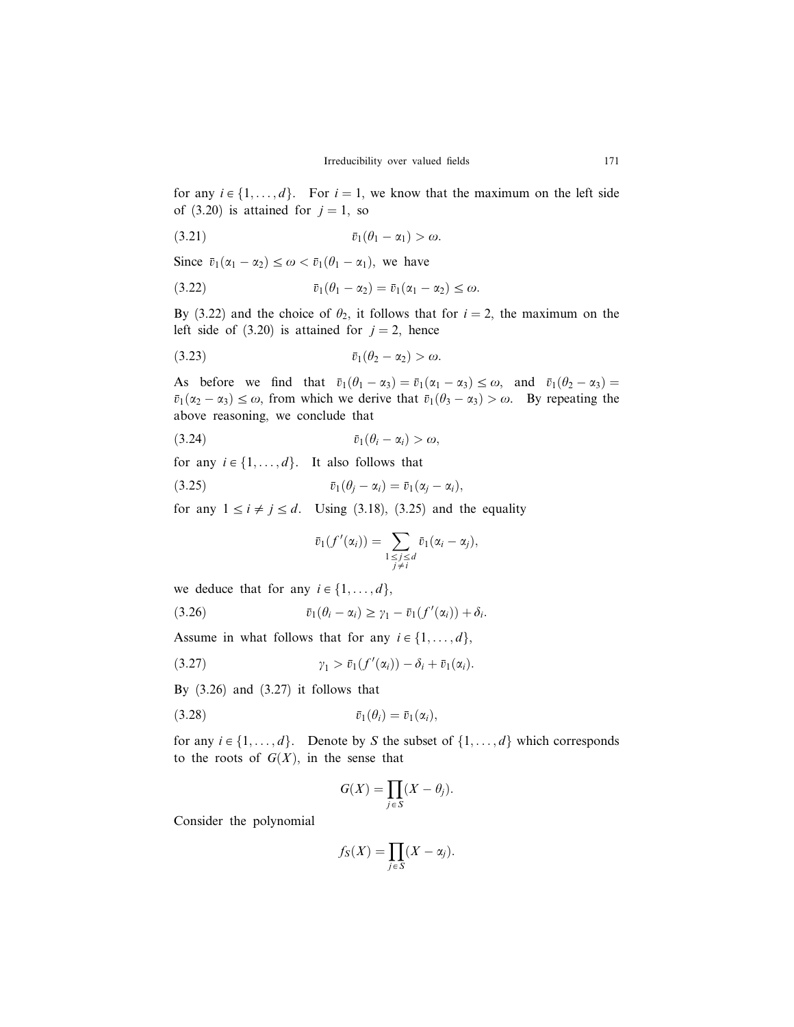for any  $i \in \{1, ..., d\}$ . For  $i = 1$ , we know that the maximum on the left side of (3.20) is attained for  $j = 1$ , so

$$
\bar{v}_1(\theta_1-\alpha_1) > \omega.
$$

Since  $\bar{v}_1(\alpha_1 - \alpha_2) \leq \omega < \bar{v}_1(\theta_1 - \alpha_1)$ , we have

$$
\overline{v}_1(\theta_1 - \alpha_2) = \overline{v}_1(\alpha_1 - \alpha_2) \leq \omega.
$$

By (3.22) and the choice of  $\theta_2$ , it follows that for  $i = 2$ , the maximum on the left side of (3.20) is attained for  $j = 2$ , hence

$$
(3.23) \t\t\t \overline{v}_1(\theta_2-\alpha_2) > \omega.
$$

As before we find that  $\bar{v}_1(\theta_1 - \alpha_3) = \bar{v}_1(\alpha_1 - \alpha_3) \leq \omega$ , and  $\bar{v}_1(\theta_2 - \alpha_3) =$  $\bar{v}_1(\alpha_2 - \alpha_3) \leq \omega$ , from which we derive that  $\bar{v}_1(\theta_3 - \alpha_3) > \omega$ . By repeating the above reasoning, we conclude that

$$
(3.24) \t\t \overline{v}_1(\theta_i - \alpha_i) > \omega,
$$

for any  $i \in \{1, ..., d\}$ . It also follows that

$$
\bar{v}_1(\theta_j - \alpha_i) = \bar{v}_1(\alpha_j - \alpha_i),
$$

for any  $1 \le i \ne j \le d$ . Using (3.18), (3.25) and the equality

$$
\bar{v}_1(f'(\alpha_i))=\sum_{\substack{1\leq j\leq d\\j\neq i}}\bar{v}_1(\alpha_i-\alpha_j),
$$

we deduce that for any  $i \in \{1, \ldots, d\}$ ,

(3.26) 
$$
\bar{v}_1(\theta_i - \alpha_i) \geq \gamma_1 - \bar{v}_1(f'(\alpha_i)) + \delta_i.
$$

Assume in what follows that for any  $i \in \{1, \ldots, d\}$ ,

g<sup>1</sup> > v1ðf <sup>0</sup> ð3:27Þ ðaiÞÞ d<sup>i</sup> þ v1ðaiÞ:

By  $(3.26)$  and  $(3.27)$  it follows that

$$
\bar{v}_1(\theta_i) = \bar{v}_1(\alpha_i),
$$

for any  $i \in \{1, ..., d\}$ . Denote by S the subset of  $\{1, ..., d\}$  which corresponds to the roots of  $G(X)$ , in the sense that

$$
G(X) = \prod_{j \in S} (X - \theta_j).
$$

Consider the polynomial

$$
f_S(X) = \prod_{j \in S} (X - \alpha_j).
$$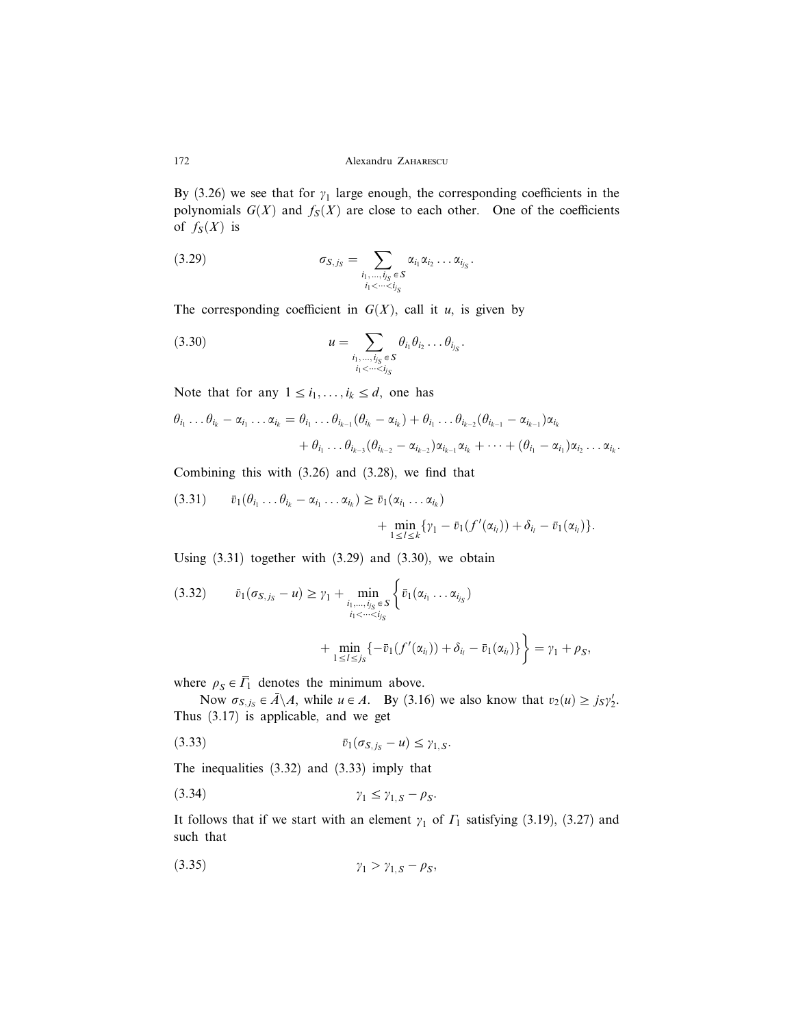By (3.26) we see that for  $\gamma_1$  large enough, the corresponding coefficients in the polynomials  $G(X)$  and  $f_S(X)$  are close to each other. One of the coefficients of  $f_S(X)$  is

$$
(3.29) \qquad \sigma_{S,j_S} = \sum_{\substack{i_1,\ldots,i_{j_S} \in S \\ i_1 < \cdots < i_{j_S}}} \alpha_{i_1} \alpha_{i_2} \ldots \alpha_{i_{j_S}}.
$$

The corresponding coefficient in  $G(X)$ , call it u, is given by

(3.30) 
$$
u = \sum_{\substack{i_1,\ldots,i_{j_s} \in S \\ i_1 < \cdots < i_{j_s}}} \theta_{i_1} \theta_{i_2} \ldots \theta_{i_{j_s}}.
$$

Note that for any  $1 \le i_1, \ldots, i_k \le d$ , one has

$$
\theta_{i_1} \dots \theta_{i_k} - \alpha_{i_1} \dots \alpha_{i_k} = \theta_{i_1} \dots \theta_{i_{k-1}} (\theta_{i_k} - \alpha_{i_k}) + \theta_{i_1} \dots \theta_{i_{k-2}} (\theta_{i_{k-1}} - \alpha_{i_{k-1}}) \alpha_{i_k} + \theta_{i_1} \dots \theta_{i_{k-3}} (\theta_{i_{k-2}} - \alpha_{i_{k-2}}) \alpha_{i_{k-1}} \alpha_{i_k} + \dots + (\theta_{i_1} - \alpha_{i_1}) \alpha_{i_2} \dots \alpha_{i_k}.
$$

Combining this with (3.26) and (3.28), we find that

$$
(3.31) \t\t \bar{v}_1(\theta_{i_1} \ldots \theta_{i_k} - \alpha_{i_1} \ldots \alpha_{i_k}) \geq \bar{v}_1(\alpha_{i_1} \ldots \alpha_{i_k}) + \min_{1 \leq l \leq k} {\gamma_1 - \bar{v}_1(f'(\alpha_{i_l})) + \delta_{i_l} - \bar{v}_1(\alpha_{i_l})}.
$$

Using  $(3.31)$  together with  $(3.29)$  and  $(3.30)$ , we obtain

$$
(3.32) \qquad \bar{v}_1(\sigma_{S,j_S} - u) \ge \gamma_1 + \min_{\substack{i_1,\ldots,i_{j_S}\in S\\i_1 < \cdots < i_{j_S}}} \left\{ \bar{v}_1(\alpha_{i_1} \ldots \alpha_{i_{j_S}}) + \min_{1 \le i \le j_S} \left\{ -\bar{v}_1(f'(\alpha_{i_i})) + \delta_{i_i} - \bar{v}_1(\alpha_{i_i}) \right\} \right\} = \gamma_1 + \rho_S,
$$

where  $\rho_S \in \overline{\Gamma}_1$  denotes the minimum above.

Now  $\sigma_{S,j_S} \in \overline{A} \backslash A$ , while  $u \in A$ . By (3.16) we also know that  $v_2(u) \ge j_S y_2'$ . Thus (3.17) is applicable, and we get

$$
\overline{v}_1(\sigma_{S,j_S}-u)\leq \gamma_{1,S}.
$$

The inequalities (3.32) and (3.33) imply that

$$
\gamma_1 \leq \gamma_{1,S} - \rho_S.
$$

It follows that if we start with an element  $\gamma_1$  of  $\Gamma_1$  satisfying (3.19), (3.27) and such that

$$
\gamma_1 > \gamma_{1,S} - \rho_S,
$$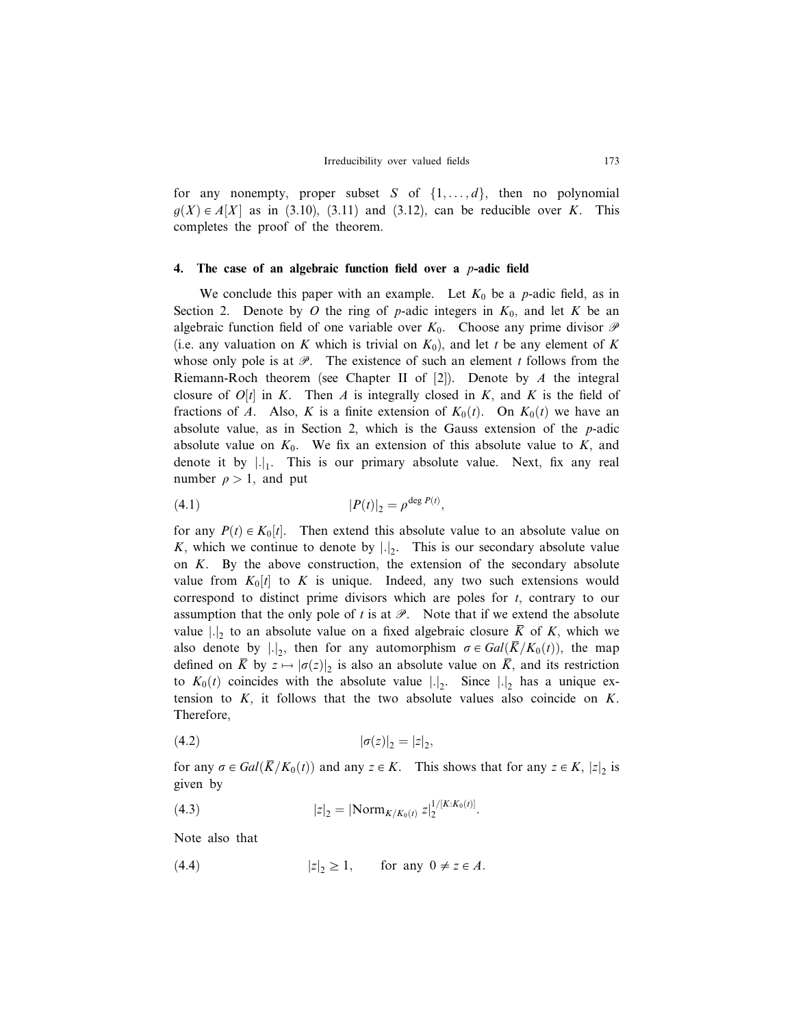for any nonempty, proper subset S of  $\{1, \ldots, d\}$ , then no polynomial  $g(X) \in A[X]$  as in (3.10), (3.11) and (3.12), can be reducible over K. This completes the proof of the theorem.

#### 4. The case of an algebraic function field over a  $p$ -adic field

We conclude this paper with an example. Let  $K_0$  be a p-adic field, as in Section 2. Denote by O the ring of p-adic integers in  $K_0$ , and let K be an algebraic function field of one variable over  $K_0$ . Choose any prime divisor  $\mathscr P$ (i.e. any valuation on K which is trivial on  $K_0$ ), and let t be any element of K whose only pole is at  $\mathscr{P}$ . The existence of such an element t follows from the Riemann-Roch theorem (see Chapter II of  $[2]$ ). Denote by A the integral closure of  $O[t]$  in K. Then A is integrally closed in K, and K is the field of fractions of A. Also, K is a finite extension of  $K_0(t)$ . On  $K_0(t)$  we have an absolute value, as in Section 2, which is the Gauss extension of the  $p$ -adic absolute value on  $K_0$ . We fix an extension of this absolute value to K, and denote it by  $\left| \cdot \right|_1$ . This is our primary absolute value. Next, fix any real number  $\rho > 1$ , and put

(4.1) 
$$
|P(t)|_2 = \rho^{\deg P(t)},
$$

for any  $P(t) \in K_0[t]$ . Then extend this absolute value to an absolute value on K, which we continue to denote by  $|.|_2$ . This is our secondary absolute value on  $K$ . By the above construction, the extension of the secondary absolute value from  $K_0[t]$  to K is unique. Indeed, any two such extensions would correspond to distinct prime divisors which are poles for  $t$ , contrary to our assumption that the only pole of t is at  $\mathcal{P}$ . Note that if we extend the absolute value  $|.|_2$  to an absolute value on a fixed algebraic closure  $\overline{K}$  of K, which we also denote by  $|.|_2$ , then for any automorphism  $\sigma \in Gal(\overline{K}/K_0(t))$ , the map defined on  $\overline{K}$  by  $z \mapsto |\sigma(z)|_2$  is also an absolute value on  $\overline{K}$ , and its restriction to  $K_0(t)$  coincides with the absolute value  $|.|_2$ . Since  $|.|_2$  has a unique extension to  $K$ , it follows that the two absolute values also coincide on  $K$ . Therefore,

(4.2) 
$$
|\sigma(z)|_2 = |z|_2,
$$

for any  $\sigma \in Gal(\overline{K}/K_0(t))$  and any  $z \in K$ . This shows that for any  $z \in K$ ,  $|z|_2$  is given by

(4.3) 
$$
|z|_2 = |\text{Norm}_{K/K_0(t)} z|_2^{1/[K:K_0(t)]}.
$$

Note also that

(4.4)  $|z|_2 \ge 1$ , for any  $0 \ne z \in A$ .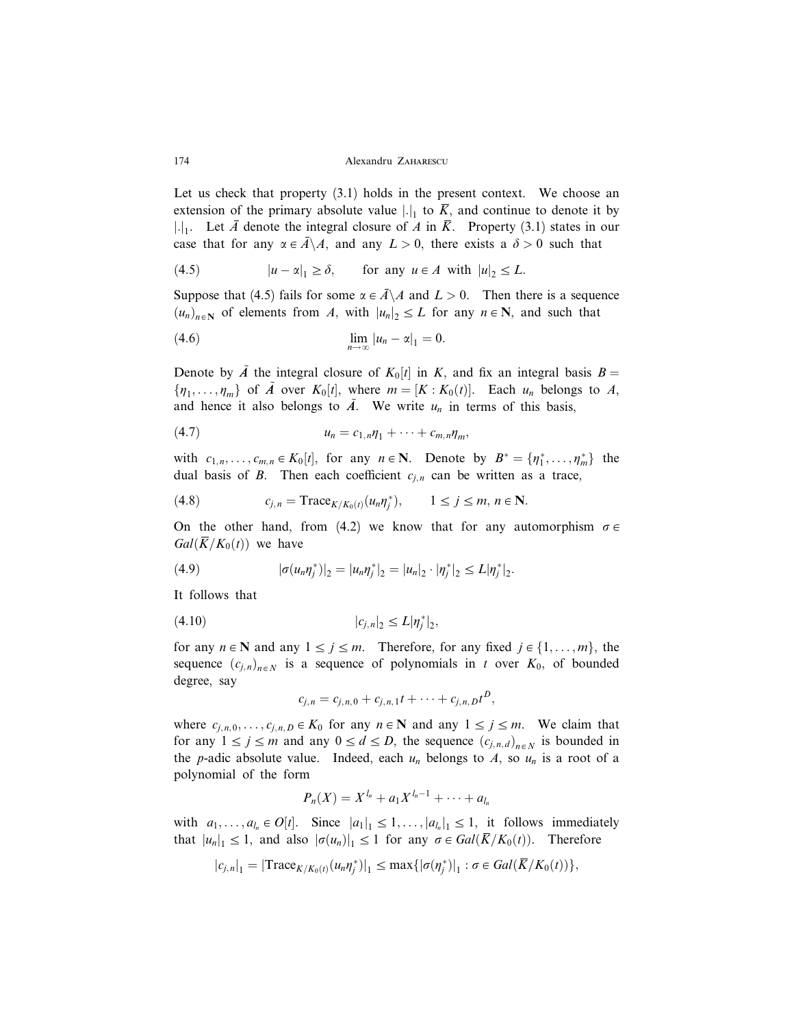174 Alexandru ZAHARESCU

Let us check that property  $(3.1)$  holds in the present context. We choose an extension of the primary absolute value  $|.|_1$  to  $\overline{K}$ , and continue to denote it by |.|<sub>1</sub>. Let  $\overline{A}$  denote the integral closure of  $A$  in  $\overline{K}$ . Property (3.1) states in our case that for any  $\alpha \in \overline{A} \backslash A$ , and any  $L > 0$ , there exists a  $\delta > 0$  such that

(4.5) 
$$
|u - \alpha|_1 \ge \delta
$$
, for any  $u \in A$  with  $|u|_2 \le L$ .

Suppose that (4.5) fails for some  $\alpha \in \overline{A} \backslash A$  and  $L > 0$ . Then there is a sequence  $(u_n)_{n \in \mathbb{N}}$  of elements from A, with  $|u_n|_2 \leq L$  for any  $n \in \mathbb{N}$ , and such that

$$
\lim_{n\to\infty}|u_n-\alpha|_1=0.
$$

Denote by  $\tilde{A}$  the integral closure of  $K_0[t]$  in K, and fix an integral basis  $B =$  $\{\eta_1, \ldots, \eta_m\}$  of  $\tilde{A}$  over  $K_0[t]$ , where  $m = [K : K_0(t)]$ . Each  $u_n$  belongs to  $A$ , and hence it also belongs to  $\overline{A}$ . We write  $u_n$  in terms of this basis,

$$
(4.7) \t\t\t u_n = c_{1,n}\eta_1 + \cdots + c_{m,n}\eta_m,
$$

with  $c_{1,n}, \ldots, c_{m,n} \in K_0[t]$ , for any  $n \in \mathbb{N}$ . Denote by  $B^* = \{\eta_1^*, \ldots, \eta_m^*\}$  the dual basis of B. Then each coefficient  $c_{j,n}$  can be written as a trace,

$$
(4.8) \t\t\t c_{j,n} = \text{Trace}_{K/K_0(t)}(u_n \eta_j^*), \t 1 \le j \le m, n \in \mathbb{N}.
$$

On the other hand, from (4.2) we know that for any automorphism  $\sigma \in$  $Gal(\overline{K}/K_0(t))$  we have

(4.9) 
$$
|\sigma(u_n\eta_j^*)|_2 = |u_n\eta_j^*|_2 = |u_n|_2 \cdot |\eta_j^*|_2 \le L |\eta_j^*|_2.
$$

It follows that

$$
(4.10) \t\t\t |c_{j,n}|_2 \le L |\eta_j^*|_2,
$$

for any  $n \in \mathbb{N}$  and any  $1 \le j \le m$ . Therefore, for any fixed  $j \in \{1, \ldots, m\}$ , the sequence  $(c_{j,n})_{n \in N}$  is a sequence of polynomials in t over  $K_0$ , of bounded degree, say

$$
c_{j,n} = c_{j,n,0} + c_{j,n,1}t + \cdots + c_{j,n,D}t^D,
$$

where  $c_{i,n,0}, \ldots, c_{i,n,D} \in K_0$  for any  $n \in \mathbb{N}$  and any  $1 \leq j \leq m$ . We claim that for any  $1 \le j \le m$  and any  $0 \le d \le D$ , the sequence  $(c_{j,n,d})_{n \in N}$  is bounded in the *p*-adic absolute value. Indeed, each  $u_n$  belongs to A, so  $u_n$  is a root of a polynomial of the form

$$
P_n(X) = X^{l_n} + a_1 X^{l_n - 1} + \cdots + a_{l_n}
$$

with  $a_1, \ldots, a_{l_n} \in O[t]$ . Since  $|a_1|_1 \leq 1, \ldots, |a_{l_n}|_1 \leq 1$ , it follows immediately that  $|u_n|_1 \leq 1$ , and also  $|\sigma(u_n)|_1 \leq 1$  for any  $\sigma \in Gal(\overline{K}/K_0(t))$ . Therefore

$$
|c_{j,n}|_1 = |\text{Trace}_{K/K_0(t)}(u_n \eta_j^*)|_1 \le \max\{|\sigma(\eta_j^*)|_1 : \sigma \in Gal(\overline{K}/K_0(t))\},
$$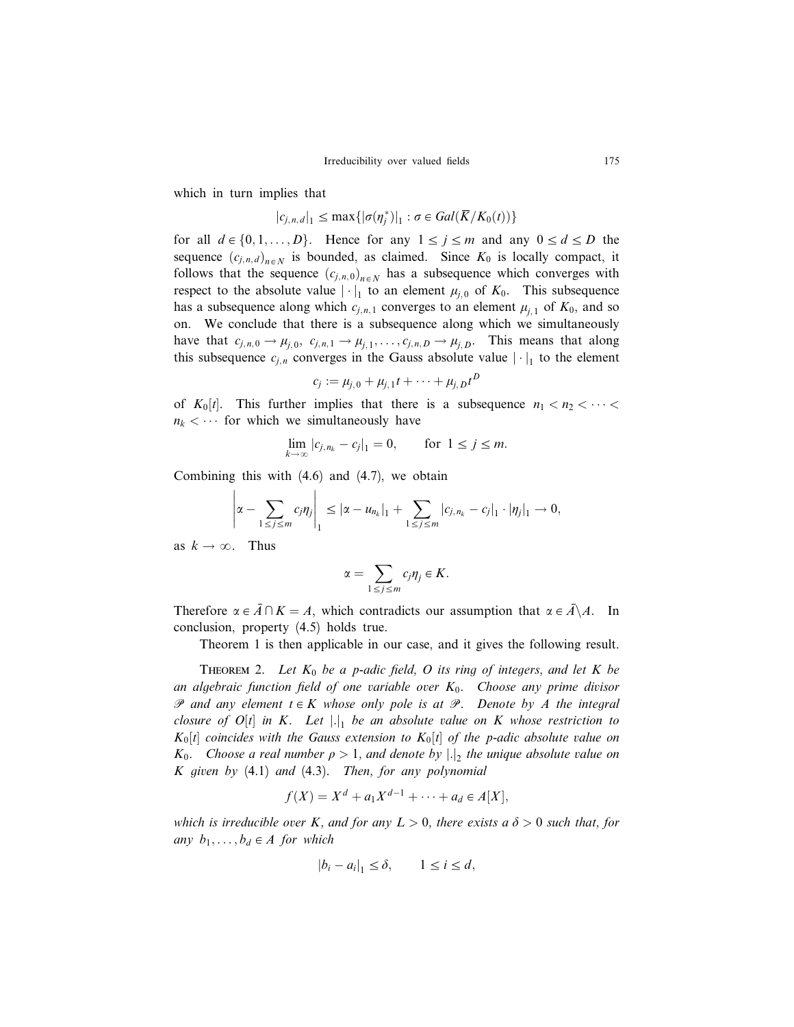which in turn implies that

$$
|c_{j,n,d}|_1 \le \max\{|\sigma(\eta_j^*)|_1 : \sigma \in Gal(\overline{K}/K_0(t))\}
$$

for all  $d \in \{0, 1, ..., D\}$ . Hence for any  $1 \le j \le m$  and any  $0 \le d \le D$  the sequence  $(c_{j,n,d})_{n \in N}$  is bounded, as claimed. Since  $K_0$  is locally compact, it follows that the sequence  $(c_{j,n,0})_{n \in N}$  has a subsequence which converges with respect to the absolute value  $|\cdot|_1$  to an element  $\mu_{j,0}$  of  $K_0$ . This subsequence has a subsequence along which  $c_{i,n,1}$  converges to an element  $\mu_{i,1}$  of  $K_0$ , and so on. We conclude that there is a subsequence along which we simultaneously have that  $c_{j,n,0} \to \mu_{j,0}$ ,  $c_{j,n,1} \to \mu_{j,1}$ , ...,  $c_{j,n,D} \to \mu_{j,D}$ . This means that along this subsequence  $c_{j,n}$  converges in the Gauss absolute value  $|\cdot|_1$  to the element

$$
c_j := \mu_{j,0} + \mu_{j,1}t + \cdots + \mu_{j,D}t^D
$$

of  $K_0[t]$ . This further implies that there is a subsequence  $n_1 < n_2 < \cdots <$  $n_k < \cdots$  for which we simultaneously have

$$
\lim_{k \to \infty} |c_{j,n_k} - c_j|_1 = 0, \quad \text{for } 1 \le j \le m.
$$

Combining this with (4.6) and (4.7), we obtain

$$
\left|\alpha - \sum_{1 \leq j \leq m} c_j \eta_j \right|_1 \leq |\alpha - u_{n_k}|_1 + \sum_{1 \leq j \leq m} |c_{j,n_k} - c_j|_1 \cdot |\eta_j|_1 \to 0,
$$

as  $k \to \infty$ . Thus

$$
\alpha=\sum_{1\leq j\leq m}c_j\eta_j\in K.
$$

Therefore  $\alpha \in \overline{A} \cap K = A$ , which contradicts our assumption that  $\alpha \in \overline{A} \backslash A$ . In conclusion, property (4.5) holds true.

Theorem 1 is then applicable in our case, and it gives the following result.

THEOREM 2. Let  $K_0$  be a p-adic field, O its ring of integers, and let K be an algebraic function field of one variable over  $K_0$ . Choose any prime divisor  $\mathscr P$  and any element  $t \in K$  whose only pole is at  $\mathscr P$ . Denote by A the integral closure of  $O[t]$  in K. Let  $|.|_1$  be an absolute value on K whose restriction to  $K_0[t]$  coincides with the Gauss extension to  $K_0[t]$  of the p-adic absolute value on  $K_0$ . Choose a real number  $\rho > 1$ , and denote by  $|.|_2$  the unique absolute value on K given by  $(4.1)$  and  $(4.3)$ . Then, for any polynomial

$$
f(X) = X^d + a_1 X^{d-1} + \dots + a_d \in A[X],
$$

which is irreducible over K, and for any  $L > 0$ , there exists a  $\delta > 0$  such that, for any  $b_1, \ldots, b_d \in A$  for which

$$
|b_i - a_i|_1 \le \delta, \qquad 1 \le i \le d,
$$